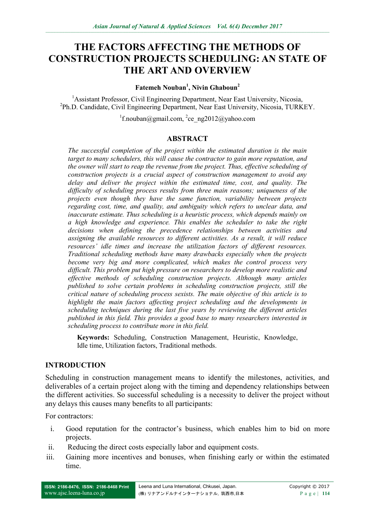# **THE FACTORS AFFECTING THE METHODS OF CONSTRUCTION PROJECTS SCHEDULING: AN STATE OF THE ART AND OVERVIEW**

#### **Fatemeh Nouban<sup>1</sup> , Nivin Ghaboun<sup>2</sup>**

<sup>1</sup> Assistant Professor, Civil Engineering Department, Near East University, Nicosia, <sup>2</sup>Ph.D. Candidate, Civil Engineering Department, Near East University, Nicosia, TURKEY.

<sup>1</sup>f.nouban@gmail.com, <sup>2</sup>ce\_ng2012@yahoo.com

#### **ABSTRACT**

*The successful completion of the project within the estimated duration is the main target to many schedulers, this will cause the contractor to gain more reputation, and the owner will start to reap the revenue from the project. Thus, effective scheduling of construction projects is a crucial aspect of construction management to avoid any delay and deliver the project within the estimated time, cost, and quality. The difficulty of scheduling process results from three main reasons; uniqueness of the projects even though they have the same function, variability between projects regarding cost, time, and quality, and ambiguity which refers to unclear data, and inaccurate estimate. Thus scheduling is a heuristic process, which depends mainly on a high knowledge and experience. This enables the scheduler to take the right decisions when defining the precedence relationships between activities and assigning the available resources to different activities. As a result, it will reduce resources' idle times and increase the utilization factors of different resources. Traditional scheduling methods have many drawbacks especially when the projects become very big and more complicated, which makes the control process very difficult. This problem put high pressure on researchers to develop more realistic and effective methods of scheduling construction projects. Although many articles published to solve certain problems in scheduling construction projects, still the critical nature of scheduling process sexists. The main objective of this article is to highlight the main factors affecting project scheduling and the developments in scheduling techniques during the last five years by reviewing the different articles published in this field. This provides a good base to many researchers interested in scheduling process to contribute more in this field.*

**Keywords:** Scheduling, Construction Management, Heuristic, Knowledge, Idle time, Utilization factors, Traditional methods.

## **INTRODUCTION**

Scheduling in construction management means to identify the milestones, activities, and deliverables of a certain project along with the timing and dependency relationships between the different activities. So successful scheduling is a necessity to deliver the project without any delays this causes many benefits to all participants:

For contractors:

- i. Good reputation for the contractor's business, which enables him to bid on more projects.
- ii. Reducing the direct costs especially labor and equipment costs.
- iii. Gaining more incentives and bonuses, when finishing early or within the estimated time.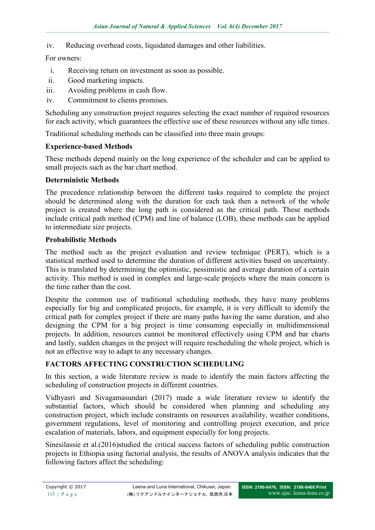iv. Reducing overhead costs, liquidated damages and other liabilities.

# For owners:

- i. Receiving return on investment as soon as possible.
- ii. Good marketing impacts.
- iii. Avoiding problems in cash flow.
- iv. Commitment to clients promises.

Scheduling any construction project requires selecting the exact number of required resources for each activity, which guarantees the effective use of these resources without any idle times.

Traditional scheduling methods can be classified into three main groups:

#### **Experience-based Methods**

These methods depend mainly on the long experience of the scheduler and can be applied to small projects such as the bar chart method.

## **Deterministic Methods**

The precedence relationship between the different tasks required to complete the project should be determined along with the duration for each task then a network of the whole project is created where the long path is considered as the critical path. These methods include critical path method (CPM) and line of balance (LOB), these methods can be applied to intermediate size projects.

#### **Probabilistic Methods**

The method such as the project evaluation and review technique (PERT), which is a statistical method used to determine the duration of different activities based on uncertainty. This is translated by determining the optimistic, pessimistic and average duration of a certain activity. This method is used in complex and large-scale projects where the main concern is the time rather than the cost.

Despite the common use of traditional scheduling methods, they have many problems especially for big and complicated projects, for example, it is very difficult to identify the critical path for complex project if there are many paths having the same duration, and also designing the CPM for a big project is time consuming especially in multidimensional projects. In addition, resources cannot be monitored effectively using CPM and bar charts and lastly, sudden changes in the project will require rescheduling the whole project, which is not an effective way to adapt to any necessary changes.

## **FACTORS AFFECTING CONSTRUCTION SCHEDULING**

In this section, a wide literature review is made to identify the main factors affecting the scheduling of construction projects in different countries.

Vidhyasri and Sivagamasundari (2017) made a wide literature review to identify the substantial factors, which should be considered when planning and scheduling any construction project, which include constraints on resources availability, weather conditions, government regulations, level of monitoring and controlling project execution, and price escalation of materials, labors, and equipment especially for long projects.

Sinesilassie et al.(2016)studied the critical success factors of scheduling public construction projects in Ethiopia using factorial analysis, the results of ANOVA analysis indicates that the following factors affect the scheduling: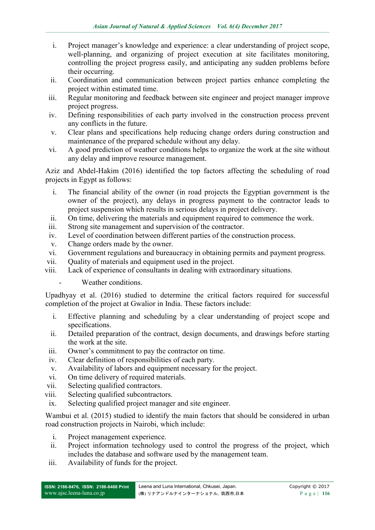- i. Project manager's knowledge and experience: a clear understanding of project scope, well-planning, and organizing of project execution at site facilitates monitoring, controlling the project progress easily, and anticipating any sudden problems before their occurring.
- ii. Coordination and communication between project parties enhance completing the project within estimated time.
- iii. Regular monitoring and feedback between site engineer and project manager improve project progress.
- iv. Defining responsibilities of each party involved in the construction process prevent any conflicts in the future.
- v. Clear plans and specifications help reducing change orders during construction and maintenance of the prepared schedule without any delay.
- vi. A good prediction of weather conditions helps to organize the work at the site without any delay and improve resource management.

Aziz and Abdel-Hakim (2016) identified the top factors affecting the scheduling of road projects in Egypt as follows:

- i. The financial ability of the owner (in road projects the Egyptian government is the owner of the project), any delays in progress payment to the contractor leads to project suspension which results in serious delays in project delivery.
- ii. On time, delivering the materials and equipment required to commence the work.
- iii. Strong site management and supervision of the contractor.
- iv. Level of coordination between different parties of the construction process.
- v. Change orders made by the owner.
- vi. Government regulations and bureaucracy in obtaining permits and payment progress.
- vii. Quality of materials and equipment used in the project.
- viii. Lack of experience of consultants in dealing with extraordinary situations.
	- Weather conditions.

Upadhyay et al. (2016) studied to determine the critical factors required for successful completion of the project at Gwalior in India. These factors include:

- i. Effective planning and scheduling by a clear understanding of project scope and specifications.
- ii. Detailed preparation of the contract, design documents, and drawings before starting the work at the site.
- iii. Owner's commitment to pay the contractor on time.
- iv. Clear definition of responsibilities of each party.
- v. Availability of labors and equipment necessary for the project.
- vi. On time delivery of required materials.
- vii. Selecting qualified contractors.
- viii. Selecting qualified subcontractors.
- ix. Selecting qualified project manager and site engineer.

Wambui et al. (2015) studied to identify the main factors that should be considered in urban road construction projects in Nairobi, which include:

- i. Project management experience.
- ii. Project information technology used to control the progress of the project, which includes the database and software used by the management team.
- iii. Availability of funds for the project.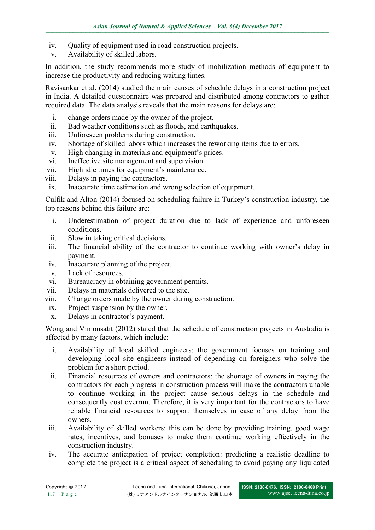- iv. Quality of equipment used in road construction projects.
- v. Availability of skilled labors.

In addition, the study recommends more study of mobilization methods of equipment to increase the productivity and reducing waiting times.

Ravisankar et al. (2014) studied the main causes of schedule delays in a construction project in India. A detailed questionnaire was prepared and distributed among contractors to gather required data. The data analysis reveals that the main reasons for delays are:

- i. change orders made by the owner of the project.
- ii. Bad weather conditions such as floods, and earthquakes.
- iii. Unforeseen problems during construction.
- iv. Shortage of skilled labors which increases the reworking items due to errors.
- v. High changing in materials and equipment's prices.
- vi. Ineffective site management and supervision.
- vii. High idle times for equipment's maintenance.
- viii. Delays in paying the contractors.
- ix. Inaccurate time estimation and wrong selection of equipment.

Culfik and Alton (2014) focused on scheduling failure in Turkey's construction industry, the top reasons behind this failure are:

- i. Underestimation of project duration due to lack of experience and unforeseen conditions.
- ii. Slow in taking critical decisions.
- iii. The financial ability of the contractor to continue working with owner's delay in payment.
- iv. Inaccurate planning of the project.
- v. Lack of resources.
- vi. Bureaucracy in obtaining government permits.
- vii. Delays in materials delivered to the site.
- viii. Change orders made by the owner during construction.
- ix. Project suspension by the owner.
- x. Delays in contractor's payment.

Wong and Vimonsatit (2012) stated that the schedule of construction projects in Australia is affected by many factors, which include:

- i. Availability of local skilled engineers: the government focuses on training and developing local site engineers instead of depending on foreigners who solve the problem for a short period.
- ii. Financial resources of owners and contractors: the shortage of owners in paying the contractors for each progress in construction process will make the contractors unable to continue working in the project cause serious delays in the schedule and consequently cost overrun. Therefore, it is very important for the contractors to have reliable financial resources to support themselves in case of any delay from the owners.
- iii. Availability of skilled workers: this can be done by providing training, good wage rates, incentives, and bonuses to make them continue working effectively in the construction industry.
- iv. The accurate anticipation of project completion: predicting a realistic deadline to complete the project is a critical aspect of scheduling to avoid paying any liquidated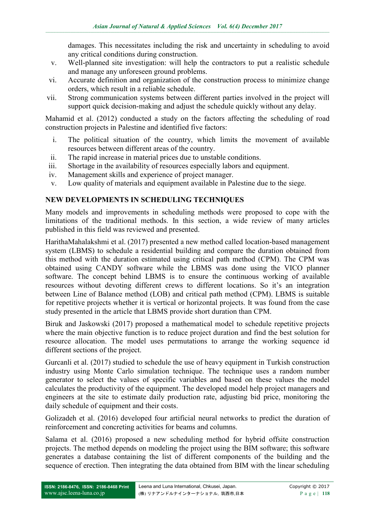damages. This necessitates including the risk and uncertainty in scheduling to avoid any critical conditions during construction.

- v. Well-planned site investigation: will help the contractors to put a realistic schedule and manage any unforeseen ground problems.
- vi. Accurate definition and organization of the construction process to minimize change orders, which result in a reliable schedule.
- vii. Strong communication systems between different parties involved in the project will support quick decision-making and adjust the schedule quickly without any delay.

Mahamid et al. (2012) conducted a study on the factors affecting the scheduling of road construction projects in Palestine and identified five factors:

- i. The political situation of the country, which limits the movement of available resources between different areas of the country.
- ii. The rapid increase in material prices due to unstable conditions.
- iii. Shortage in the availability of resources especially labors and equipment.
- iv. Management skills and experience of project manager.
- v. Low quality of materials and equipment available in Palestine due to the siege.

# **NEW DEVELOPMENTS IN SCHEDULING TECHNIQUES**

Many models and improvements in scheduling methods were proposed to cope with the limitations of the traditional methods. In this section, a wide review of many articles published in this field was reviewed and presented.

HarithaMahalakshmi et al. (2017) presented a new method called location-based management system (LBMS) to schedule a residential building and compare the duration obtained from this method with the duration estimated using critical path method (CPM). The CPM was obtained using CANDY software while the LBMS was done using the VICO planner software. The concept behind LBMS is to ensure the continuous working of available resources without devoting different crews to different locations. So it's an integration between Line of Balance method (LOB) and critical path method (CPM). LBMS is suitable for repetitive projects whether it is vertical or horizontal projects. It was found from the case study presented in the article that LBMS provide short duration than CPM.

Biruk and Jaskowski (2017) proposed a mathematical model to schedule repetitive projects where the main objective function is to reduce project duration and find the best solution for resource allocation. The model uses permutations to arrange the working sequence id different sections of the project.

Gurcanli et al. (2017) studied to schedule the use of heavy equipment in Turkish construction industry using Monte Carlo simulation technique. The technique uses a random number generator to select the values of specific variables and based on these values the model calculates the productivity of the equipment. The developed model help project managers and engineers at the site to estimate daily production rate, adjusting bid price, monitoring the daily schedule of equipment and their costs.

Golizadeh et al. (2016) developed four artificial neural networks to predict the duration of reinforcement and concreting activities for beams and columns.

Salama et al. (2016) proposed a new scheduling method for hybrid offsite construction projects. The method depends on modeling the project using the BIM software; this software generates a database containing the list of different components of the building and the sequence of erection. Then integrating the data obtained from BIM with the linear scheduling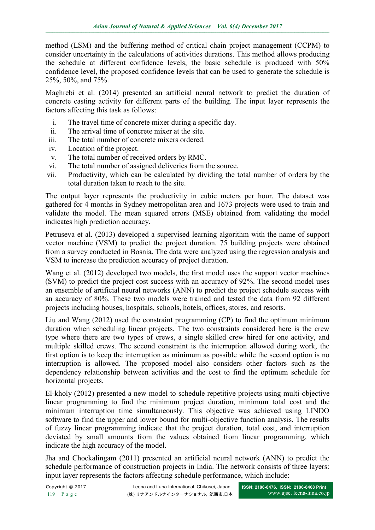method (LSM) and the buffering method of critical chain project management (CCPM) to consider uncertainty in the calculations of activities durations. This method allows producing the schedule at different confidence levels, the basic schedule is produced with 50% confidence level, the proposed confidence levels that can be used to generate the schedule is 25%, 50%, and 75%.

Maghrebi et al. (2014) presented an artificial neural network to predict the duration of concrete casting activity for different parts of the building. The input layer represents the factors affecting this task as follows:

- i. The travel time of concrete mixer during a specific day.
- ii. The arrival time of concrete mixer at the site.
- iii. The total number of concrete mixers ordered.
- iv. Location of the project.
- v. The total number of received orders by RMC.
- vi. The total number of assigned deliveries from the source.
- vii. Productivity, which can be calculated by dividing the total number of orders by the total duration taken to reach to the site.

The output layer represents the productivity in cubic meters per hour. The dataset was gathered for 4 months in Sydney metropolitan area and 1673 projects were used to train and validate the model. The mean squared errors (MSE) obtained from validating the model indicates high prediction accuracy.

Petruseva et al. (2013) developed a supervised learning algorithm with the name of support vector machine (VSM) to predict the project duration. 75 building projects were obtained from a survey conducted in Bosnia. The data were analyzed using the regression analysis and VSM to increase the prediction accuracy of project duration.

Wang et al. (2012) developed two models, the first model uses the support vector machines (SVM) to predict the project cost success with an accuracy of 92%. The second model uses an ensemble of artificial neural networks (ANN) to predict the project schedule success with an accuracy of 80%. These two models were trained and tested the data from 92 different projects including houses, hospitals, schools, hotels, offices, stores, and resorts.

Liu and Wang (2012) used the constraint programming (CP) to find the optimum minimum duration when scheduling linear projects. The two constraints considered here is the crew type where there are two types of crews, a single skilled crew hired for one activity, and multiple skilled crews. The second constraint is the interruption allowed during work, the first option is to keep the interruption as minimum as possible while the second option is no interruption is allowed. The proposed model also considers other factors such as the dependency relationship between activities and the cost to find the optimum schedule for horizontal projects.

El-kholy (2012) presented a new model to schedule repetitive projects using multi-objective linear programming to find the minimum project duration, minimum total cost and the minimum interruption time simultaneously. This objective was achieved using LINDO software to find the upper and lower bound for multi-objective function analysis. The results of fuzzy linear programming indicate that the project duration, total cost, and interruption deviated by small amounts from the values obtained from linear programming, which indicate the high accuracy of the model.

Jha and Chockalingam (2011) presented an artificial neural network (ANN) to predict the schedule performance of construction projects in India. The network consists of three layers: input layer represents the factors affecting schedule performance, which include: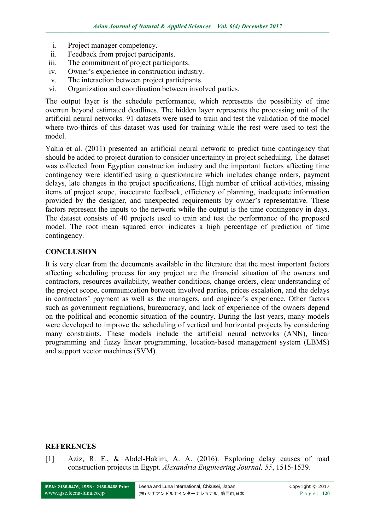- i. Project manager competency.
- ii. Feedback from project participants.
- iii. The commitment of project participants.
- iv. Owner's experience in construction industry.
- v. The interaction between project participants.
- vi. Organization and coordination between involved parties.

The output layer is the schedule performance, which represents the possibility of time overrun beyond estimated deadlines. The hidden layer represents the processing unit of the artificial neural networks. 91 datasets were used to train and test the validation of the model where two-thirds of this dataset was used for training while the rest were used to test the model.

Yahia et al. (2011) presented an artificial neural network to predict time contingency that should be added to project duration to consider uncertainty in project scheduling. The dataset was collected from Egyptian construction industry and the important factors affecting time contingency were identified using a questionnaire which includes change orders, payment delays, late changes in the project specifications, High number of critical activities, missing items of project scope, inaccurate feedback, efficiency of planning, inadequate information provided by the designer, and unexpected requirements by owner's representative. These factors represent the inputs to the network while the output is the time contingency in days. The dataset consists of 40 projects used to train and test the performance of the proposed model. The root mean squared error indicates a high percentage of prediction of time contingency.

# **CONCLUSION**

It is very clear from the documents available in the literature that the most important factors affecting scheduling process for any project are the financial situation of the owners and contractors, resources availability, weather conditions, change orders, clear understanding of the project scope, communication between involved parties, prices escalation, and the delays in contractors' payment as well as the managers, and engineer's experience. Other factors such as government regulations, bureaucracy, and lack of experience of the owners depend on the political and economic situation of the country. During the last years, many models were developed to improve the scheduling of vertical and horizontal projects by considering many constraints. These models include the artificial neural networks (ANN), linear programming and fuzzy linear programming, location-based management system (LBMS) and support vector machines (SVM).

## **REFERENCES**

[1] Aziz, R. F., & Abdel-Hakim, A. A. (2016). Exploring delay causes of road construction projects in Egypt. *Alexandria Engineering Journal, 55*, 1515-1539.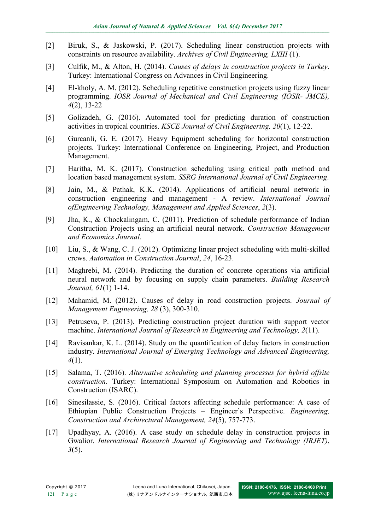- [2] Biruk, S., & Jaskowski, P. (2017). Scheduling linear construction projects with constraints on resource availability. *Archives of Civil Engineering, LXIII* (1).
- [3] Culfik, M., & Alton, H. (2014). *Causes of delays in construction projects in Turkey*. Turkey: International Congress on Advances in Civil Engineering.
- [4] El-kholy, A. M. (2012). Scheduling repetitive construction projects using fuzzy linear programming. *IOSR Journal of Mechanical and Civil Engineering (IOSR- JMCE), 4*(2), 13-22
- [5] Golizadeh, G. (2016). Automated tool for predicting duration of construction activities in tropical countries. *KSCE Journal of Civil Engineering, 20*(1), 12-22.
- [6] Gurcanli, G. E. (2017). Heavy Equipment scheduling for horizontal construction projects. Turkey: International Conference on Engineering, Project, and Production Management.
- [7] Haritha, M. K. (2017). Construction scheduling using critical path method and location based management system. *SSRG International Journal of Civil Engineering*.
- [8] Jain, M., & Pathak, K.K. (2014). Applications of artificial neural network in construction engineering and management - A review. *International Journal ofEngineering Technology, Management and Applied Sciences*, *2*(3).
- [9] Jha, K., & Chockalingam, C. (2011). Prediction of schedule performance of Indian Construction Projects using an artificial neural network. *Construction Management and Economics Journal.*
- [10] Liu, S., & Wang, C. J. (2012). Optimizing linear project scheduling with multi-skilled crews. *Automation in Construction Journal*, *24*, 16-23.
- [11] Maghrebi, M. (2014). Predicting the duration of concrete operations via artificial neural network and by focusing on supply chain parameters. *Building Research Journal, 61*(1) 1-14.
- [12] Mahamid, M. (2012). Causes of delay in road construction projects. *Journal of Management Engineering, 28* (3), 300-310.
- [13] Petruseva, P. (2013). Predicting construction project duration with support vector machine. *International Journal of Research in Engineering and Technology, 2*(11).
- [14] Ravisankar, K. L. (2014). Study on the quantification of delay factors in construction industry. *International Journal of Emerging Technology and Advanced Engineering, 4*(1).
- [15] Salama, T. (2016). *Alternative scheduling and planning processes for hybrid offsite construction*. Turkey: International Symposium on Automation and Robotics in Construction (ISARC).
- [16] Sinesilassie, S. (2016). Critical factors affecting schedule performance: A case of Ethiopian Public Construction Projects – Engineer's Perspective. *Engineering, Construction and Architectural Management, 24*(5), 757-773.
- [17] Upadhyay, A. (2016). A case study on schedule delay in construction projects in Gwalior. *International Research Journal of Engineering and Technology (IRJET)*, *3*(5).